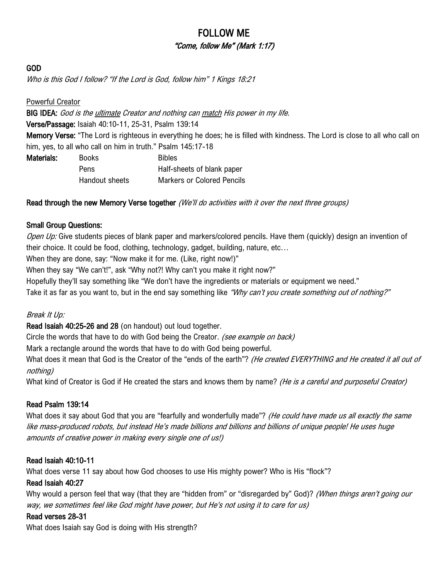# FOLLOW ME "Come, follow Me" (Mark 1:17)

#### GOD

Who is this God I follow? "If the Lord is God, follow him" 1 Kings 18:21

Powerful Creator

BIG IDEA: God is the *ultimate Creator and nothing can match His power in my life.* Verse/Passage: Isaiah 40:10-11, 25-31, Psalm 139:14 Memory Verse: "The Lord is righteous in everything he does; he is filled with kindness. The Lord is close to all who call on him, yes, to all who call on him in truth." Psalm 145:17-18

| Materials: | <b>Books</b>          | <b>Bibles</b>                     |
|------------|-----------------------|-----------------------------------|
|            | Pens                  | Half-sheets of blank paper        |
|            | <b>Handout sheets</b> | <b>Markers or Colored Pencils</b> |

Read through the new Memory Verse together (We'll do activities with it over the next three groups)

### Small Group Questions:

Open Up: Give students pieces of blank paper and markers/colored pencils. Have them (quickly) design an invention of their choice. It could be food, clothing, technology, gadget, building, nature, etc…

When they are done, say: "Now make it for me. (Like, right now!)"

When they say "We can't!", ask "Why not?! Why can't you make it right now?"

Hopefully they'll say something like "We don't have the ingredients or materials or equipment we need."

Take it as far as you want to, but in the end say something like "Why can't you create something out of nothing?"

### Break It Up:

Read Isaiah 40:25-26 and 28 (on handout) out loud together.

Circle the words that have to do with God being the Creator. (see example on back)

Mark a rectangle around the words that have to do with God being powerful.

What does it mean that God is the Creator of the "ends of the earth"? (He created EVERYTHING and He created it all out of nothing)

What kind of Creator is God if He created the stars and knows them by name? (He is a careful and purposeful Creator)

## Read Psalm 139:14

What does it say about God that you are "fearfully and wonderfully made"? (He could have made us all exactly the same like mass-produced robots, but instead He's made billions and billions and billions of unique people! He uses huge amounts of creative power in making every single one of us!)

### Read Isaiah 40:10-11

What does verse 11 say about how God chooses to use His mighty power? Who is His "flock"?

### Read Isaiah 40:27

Why would a person feel that way (that they are "hidden from" or "disregarded by" God)? (When things aren't going our way, we sometimes feel like God might have power, but He's not using it to care for us)

### Read verses 28-31

What does Isaiah say God is doing with His strength?